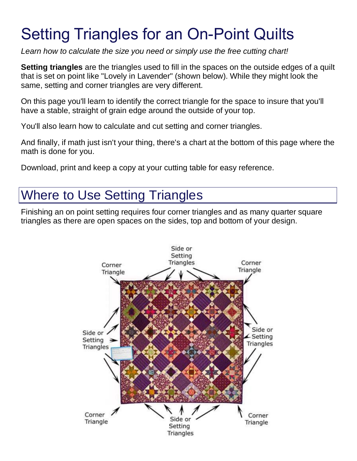# Setting Triangles for an On-Point Quilts

*Learn how to calculate the size you need or simply use the free cutting chart!*

**Setting triangles** are the triangles used to fill in the spaces on the outside edges of a quilt that is set on point like "Lovely in Lavender" (shown below). While they might look the same, setting and corner triangles are very different.

On this page you'll learn to identify the correct triangle for the space to insure that you'll have a stable, straight of grain edge around the outside of your top.

You'll also learn how to calculate and cut setting and corner triangles.

And finally, if math just isn't your thing, there's a chart at the bottom of this page where the math is done for you.

Download, print and keep a copy at your cutting table for easy reference.

## Where to Use Setting Triangles

Finishing an on point setting requires four corner triangles and as many quarter square triangles as there are open spaces on the sides, top and bottom of your design.

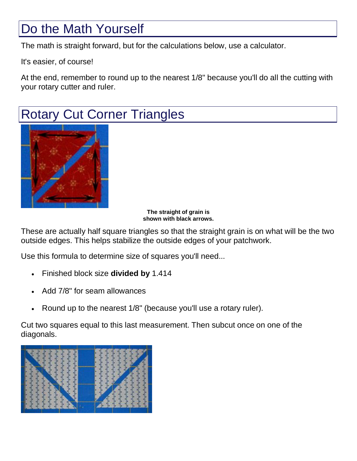## Do the Math Yourself

The math is straight forward, but for the calculations below, use a calculator.

It's easier, of course!

At the end, remember to round up to the nearest 1/8" because you'll do all the cutting with your rotary cutter and ruler.

# Rotary Cut Corner Triangles



**The straight of grain is shown with black arrows.**

These are actually half square triangles so that the straight grain is on what will be the two outside edges. This helps stabilize the outside edges of your patchwork.

Use this formula to determine size of squares you'll need...

- Finished block size **divided by** 1.414
- Add 7/8" for seam allowances
- Round up to the nearest 1/8" (because you'll use a rotary ruler).

Cut two squares equal to this last measurement. Then subcut once on one of the diagonals.

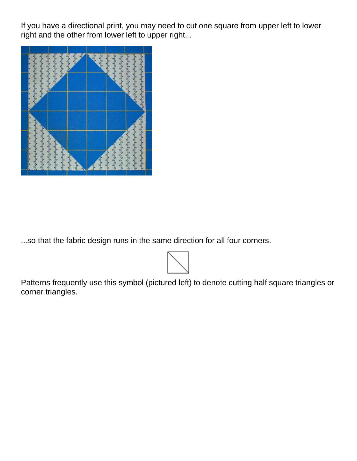If you have a directional print, you may need to cut one square from upper left to lower right and the other from lower left to upper right...



...so that the fabric design runs in the same direction for all four corners.



Patterns frequently use this symbol (pictured left) to denote cutting half square triangles or corner triangles.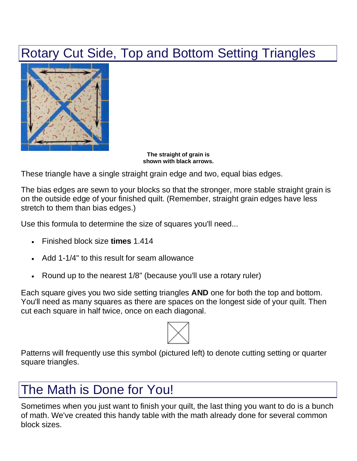## Rotary Cut Side, Top and Bottom Setting Triangles



**The straight of grain is shown with black arrows.**

These triangle have a single straight grain edge and two, equal bias edges.

The bias edges are sewn to your blocks so that the stronger, more stable straight grain is on the outside edge of your finished quilt. (Remember, straight grain edges have less stretch to them than bias edges.)

Use this formula to determine the size of squares you'll need...

- Finished block size **times** 1.414
- Add 1-1/4" to this result for seam allowance
- Round up to the nearest 1/8" (because you'll use a rotary ruler)

Each square gives you two side setting triangles **AND** one for both the top and bottom. You'll need as many squares as there are spaces on the longest side of your quilt. Then cut each square in half twice, once on each diagonal.



Patterns will frequently use this symbol (pictured left) to denote cutting setting or quarter square triangles.

# The Math is Done for You!

Sometimes when you just want to finish your quilt, the last thing you want to do is a bunch of math. We've created this handy table with the math already done for several common block sizes.